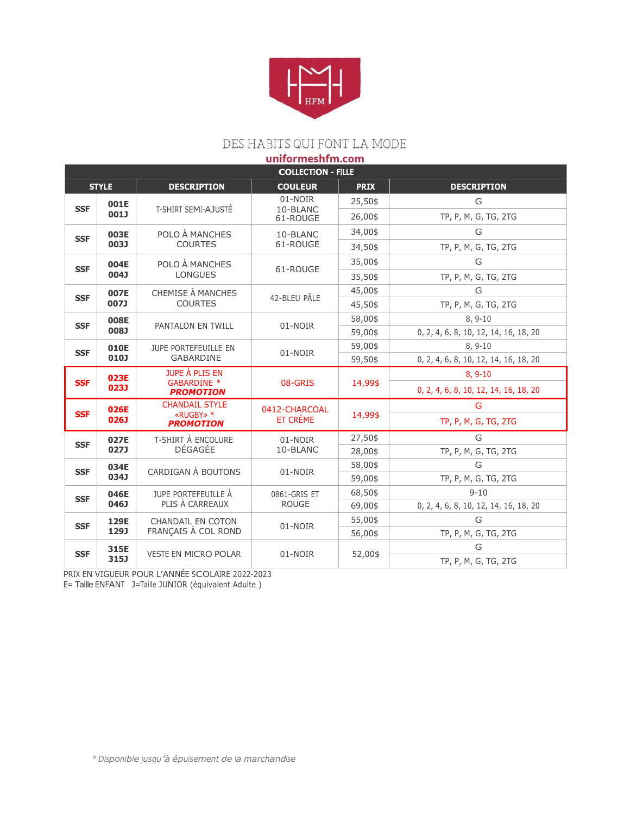

## DES HABITS QUI FONT LA MODE

| uniformeshfm.com          |              |                                                   |                                 |             |                                       |  |  |  |  |
|---------------------------|--------------|---------------------------------------------------|---------------------------------|-------------|---------------------------------------|--|--|--|--|
| <b>COLLECTION - FILLE</b> |              |                                                   |                                 |             |                                       |  |  |  |  |
| <b>STYLE</b>              |              | <b>DESCRIPTION</b>                                | <b>COULEUR</b>                  | <b>PRIX</b> | <b>DESCRIPTION</b>                    |  |  |  |  |
|                           | 001E         |                                                   | 01-NOIR<br>10-BLANC<br>61-ROUGE | 25,50\$     | G                                     |  |  |  |  |
| <b>SSF</b>                | 001J         | T-SHIRT SEMI-AJUSTÉ                               |                                 | 26,00\$     | TP, P, M, G, TG, 2TG                  |  |  |  |  |
| <b>SSF</b>                | 003E<br>003J | POLO À MANCHES<br><b>COURTES</b>                  | 10-BLANC<br>61-ROUGE            | 34,00\$     | G                                     |  |  |  |  |
|                           |              |                                                   |                                 | 34,50\$     | TP, P, M, G, TG, 2TG                  |  |  |  |  |
| <b>SSF</b>                | 004E<br>004J | POLO À MANCHES<br><b>LONGUES</b>                  | 61-ROUGE                        | 35,00\$     | G                                     |  |  |  |  |
|                           |              |                                                   |                                 | 35,50\$     | TP, P, M, G, TG, 2TG                  |  |  |  |  |
| <b>SSF</b>                | 007E         | CHEMISE À MANCHES                                 | 42-BLEU PÂLE                    | 45,00\$     | G                                     |  |  |  |  |
|                           | 007J         | <b>COURTES</b>                                    |                                 | 45,50\$     | TP, P, M, G, TG, 2TG                  |  |  |  |  |
| <b>SSF</b>                | 008E<br>L800 | PANTALON EN TWILL                                 | 01-NOIR                         | 58,00\$     | $8, 9-10$                             |  |  |  |  |
|                           |              |                                                   |                                 | 59,00\$     | 0, 2, 4, 6, 8, 10, 12, 14, 16, 18, 20 |  |  |  |  |
| <b>SSF</b>                | 010E<br>010J | JUPE PORTEFEUILLE EN<br><b>GABARDINE</b>          | 01-NOIR                         | 59,00\$     | $8.9 - 10$                            |  |  |  |  |
|                           |              |                                                   |                                 | 59,50\$     | 0, 2, 4, 6, 8, 10, 12, 14, 16, 18, 20 |  |  |  |  |
| <b>SSF</b>                | 023E<br>023J | JUPE À PLIS EN<br>GABARDINE *<br><b>PROMOTION</b> | 08-GRIS                         | 14,99\$     | $8, 9-10$                             |  |  |  |  |
|                           |              |                                                   |                                 |             | 0, 2, 4, 6, 8, 10, 12, 14, 16, 18, 20 |  |  |  |  |
| <b>SSF</b>                | 026E<br>026J | <b>CHANDAIL STYLE</b>                             | 0412-CHARCOAL                   | 14,99\$     | G                                     |  |  |  |  |
|                           |              | «RUGBY» *<br><b>PROMOTION</b>                     | ET CRÈME                        |             | TP, P, M, G, TG, 2TG                  |  |  |  |  |
| <b>SSF</b>                | 027E<br>027J | T-SHIRT À ENCOLURE<br>DÉGAGÉE                     | 01-NOIR<br>10-BLANC             | 27,50\$     | G                                     |  |  |  |  |
|                           |              |                                                   |                                 | 28,00\$     | TP, P, M, G, TG, 2TG                  |  |  |  |  |
| <b>SSF</b>                | 034E         | CARDIGAN À BOUTONS<br>034J                        | 01-NOIR                         | 58,00\$     | G                                     |  |  |  |  |
|                           |              |                                                   |                                 | 59,00\$     | TP, P, M, G, TG, 2TG                  |  |  |  |  |
| <b>SSF</b>                | 046E<br>046J | JUPE PORTEFEUILLE À<br>PLIS À CARREAUX            | 0861-GRIS ET<br><b>ROUGE</b>    | 68,50\$     | $9 - 10$                              |  |  |  |  |
|                           |              |                                                   |                                 | 69,00\$     | 0, 2, 4, 6, 8, 10, 12, 14, 16, 18, 20 |  |  |  |  |
| <b>SSF</b>                | 129E<br>129J | <b>CHANDAIL EN COTON</b><br>FRANÇAIS À COL ROND   | 01-NOIR                         | 55,00\$     | G                                     |  |  |  |  |
|                           |              |                                                   |                                 | 56,00\$     | TP, P, M, G, TG, 2TG                  |  |  |  |  |
| <b>SSF</b>                | 315E<br>315J | <b>VESTE EN MICRO POLAR</b>                       | 01-NOIR                         | 52,00\$     | G                                     |  |  |  |  |
|                           |              |                                                   |                                 |             | TP, P, M, G, TG, 2TG                  |  |  |  |  |

PRIX EN VIGUEUR POUR L'ANNÉE SCOLAIRE 2022-2023

E= Taille ENFANT J=Taille JUNIOR (équivalent Adulte )